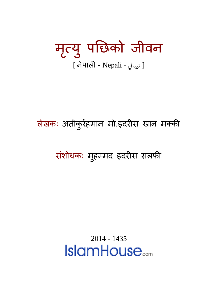मृत्यु पछिको जीवन [ نيبالى - अपाली - Nepali ]

### लेखकः अतीकुरेहमान मो.इदरीस खान मक्की

#### संशोधकः मुहम्मद इदरीस संलफी

2014 - 1435**IslamHouse**...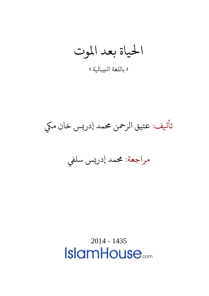احلياة بعد املوت

» باللغة انليبايلة «

تأيلف: عتيق الرمحن حممد إدريس خان ميك

مراجعة: حممد إدريس سليف

2014 - 1435 **IslamHouse**<sub>com</sub>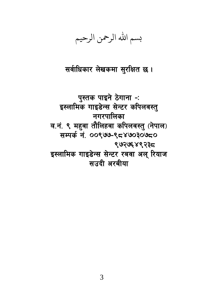بسم الله الرحمن الرحيم

सर्वाधिकार लेखकमा सुरक्षित छ।

पुस्तक पाइने ठेगाना -: इस्लामिक गाइडेन्स सेन्टर कपिलवस्तु नगरपालिका व.नं. ९ महुवा तौलिहवा कपिलवस्तु (नेपाल) सम्पर्क नं. ००९७७-९८४७०३०७८० ९७२७६४९२३८ इस्लामिक गाइडेन्स सेन्टर रबवा अल् रियाज सउदी अरबीया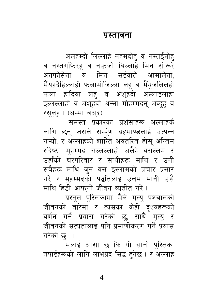#### प्रस्तावना

अलहम्दो लिल्लाहे नहमदोह् व नस्तईनोह् व नस्तगफिरह व नऊजो बिल्लाहे मिन शोरूरे अनफोसेना व मिन सईयाते आमालेना, मैँयहदेहिल्लाहो फलामोजिल्ला लह व मैँयुजलिल्हो फला हादिया लह व अशुहदो अल्लाइलाहा इल्लल्लाहो व अशुहदो अन्ना मोहम्मदन् अब्दुह् व रसुलह् । (अम्मा बअ़द)

समस्त प्रकारका प्रशंसाहरू अल्लाहकै लागि छन् जसले सर्म्पूण ब्रह्माण्डलाई उत्पन्न गऱ्यो, र अल्लाहको शान्ति अवतरित होस् अन्तिम संदेष्टा मुहम्मद सल्लल्लाहो अलैहे वसल्लम र उहाँको घरपरिवार र साथीहरू माथि र उनी सबैहरू माथि जुन यस इस्लामको प्रचार प्रसार गरे र मुहम्मदको पद्धतिलाई उत्तम मानी उसै माथि हिंडी आफनो जीवन व्यतीत गरे।

प्रस्तुत पुस्तिकामा मैले मृत्यु पश्चातको जीवनको बारेमा र त्यसका केही दृश्यहरूको वर्णन गर्ने प्रयास गरेको छु, साथै मृत्यु र जीवनको सत्यतालाई पनि प्रमाणीकरण गर्ने प्रयास गरेको छ ।

मलाई आशा छ कि यो सानो पुस्तिका तपाईहरूको लागि लाभप्रद सिद्ध हनेछ । र अल्लाह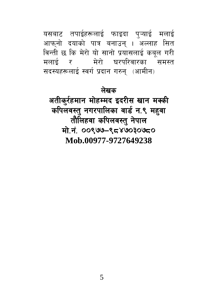यसबाट तपाईहरूलाई फाइदा प्ऱ्याई मलाई आफनो दयाको पात्र बनाउन् । अल्लाह सित विन्ती छ कि मेरो यो सानो प्रयासलाई कबल गरी मलाई र - मेरो घरपरिवारका समस्त सदस्यहरूलाई स्वर्ग प्रदान गरुन् (आमीन)

#### लेखक

अतीकुर्रहमान मोहम्मद इदरीस खान मक्की कपिलवस्तु नगरपालिका वार्ड न.९ महुवा तौलिहवा कपिलवस्तु नेपाल मो.नं. ००९७७-९८४७०३०७८० Mob 00977-9727649238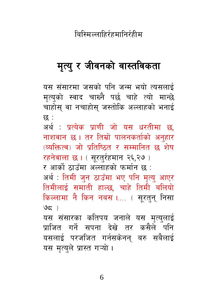बिस्मिल्लाहिर्रहमानिर्रहीम

#### मृत्यु र जीवनको वास्तविकता

यस संसारमा जसको पनि जन्म भयो त्यसलाई मृत्यको स्वाद चाख्नै पर्छ चाहे त्यो मान्छे चाहोसु वा नचाहोसु जस्तोकि अल्लाहको भनाई छ :

अर्थ : प्रत्येक प्राणी जो यस धरतीमा छ, नाशवान छ । तर तिम्रो पालनकर्ताको अनुहार (व्यक्तित्व) जो प्रतिष्ठित र सम्मानित छ शेष

रहनेवाला छ । ( सुरत्₹हमान २६,२७ )

र आर्को ठाउँमा अल्लाहको फर्मान छ :

अर्थ : तिमी जन ठाउँमा भए पनि मत्य आएर तिमीलाई समाती हाल्छ, चाहे तिमी बलियो किल्लामा नै किन नबस ।.... ( सूरतुन् निसा  $95)$ 

यस संसारका कतिपय जनाले यस मृत्युलाई प्राजित गर्ने सपना देखे तर कसैले पनि यसलाई परजजित गर्नसकेनन् बरु सबैलाई यस मृत्युले प्रास्त गऱ्यो ।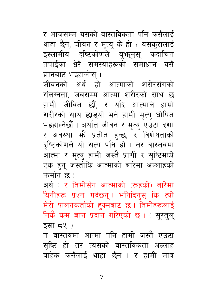7

त वास्तवमा आत्मा पनि हामी जस्तै एउटा सृष्टि हो तर त्यसको वास्तविकता अल्लाह बाहेक कसैलाई थाहा छैन । र हामी मात्र

अर्थ : र तिमीसँग आत्माको (रूहको) बारेमा यिनीहरू प्रश्न गर्दछन् । भनिदिनस कि त्यो मेरो पालनकर्ताको हक्मबाट छ। तिमीहरूलाई निकै कम ज्ञान प्रदान गरिएको छ। ( सुरतुलु इस्रा ८५)

ज्ञानबाट भइहालोस् । जीवनको अर्थ हो आत्माको शरीरसंगको संलग्नता, जबसम्म आत्मा शरीरको साथ छ हामी जीवित छौं, र यदि आत्माले हाम्रो शरीरको साथ छाडुयो भने हामी मृत्यु घोषित भइहाल्नेछौं । अर्थात जीवन र मृत्यु एउटा दशा र अवस्था भें प्रतीत हुन्छ, र विशेषताको दृष्टिकोणले यो सत्य पनि हो। तर वास्तवमा आत्मा र मृत्यु हामी जस्तै प्राणी र सुष्टिमध्ये एक हुन् जस्तोकि आत्माको बारेमा अल्लाहको फर्मान छ :

र आजसम्म यसको वास्तविकता पनि कसैलाई थाहा छैन, जीवन र मृत्यु के हो ? यसकुरालाई इस्लामीय दृष्टिकोणले बुभन्नुस् कदाचित<br>तपाईका धेरै समस्याहरूको समाधान यसै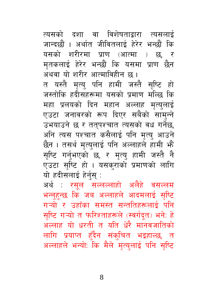त्यसको दशा वा विशेषताद्वारा त्यसलाई जान्दछौं । अर्थात जीवितलाई हेरेर भन्छौं कि यसको शरीरमा प्राण (आत्मा ) छ, र मतकलाई हेरेर भन्छौं कि यसमा प्राण छैन अथवा यो शरीर आत्माविहीन छ।

त यस्तै मत्य पनि हामी जस्तै सष्टि हो जस्तोकि हदीसहरूमा यसको प्रमाण मल्छि कि महा प्रलयको दिन महान अल्लाह मत्यलाई एउटा जनावरको रूप दिएर सबैको सामुन्ने उभयाउने छ र ततुपश्चात त्यसको वध गर्नेछ, अनि त्यस पश्चात कसैलाई पनि मृत्य् आउने छैन । तसर्थ मृत्युलाई पनि अल्लाहले हामी भें सृष्टि गर्नुभएको छ, र मृत्यु हामी जस्तै नै एउटा सृष्टि हो । यसकुराको प्रमाणको लागि यो हदीसलाई हेर्नुस् :

अर्थ : रसुल सल्लल्लाहो अलैहे वसल्लम भन्नुहुन्छ कि जब अल्लाहले आदमलाई सुष्टि गऱ्यो र उहाँका समस्त सन्ततिहरूलाई पनि सुष्टि गऱ्यो त फरिश्ताहरूले (स्वर्गदत) भने: हे अल्लाह यो धरती त यति धेरै मानवजातिको लागि प्रयाप्त हँदैन संक्चित भइहाल्छ, त अल्लाहले भन्यो: कि मैले मृत्युलाई पनि सुष्टि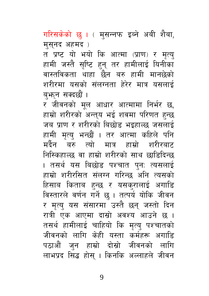गरिसकेको छ । ( मुसन्नफ इब्ने अबी शैबा, मसनद अहमद)

त प्रष्ट यो भयो कि आत्मा (प्राण) र मृत्य् हामी जस्तै सृष्टि हुन् तर हामीलाई यिनीका वास्तविकता थाहा छैन बरु हामी मानछेको शरीरमा यसको संलग्नता हेरेर मात्र यसलाई बफान सक्दछौं ।

र जीवनको मूल आधार आत्मामा निर्भर छ, हाम्रो शरीरको अन्त्**य भई शवमा परिणत हुन्छ** जब प्राण र शरीरको बिछोड भइहाल्छ जसलाई हामी मृत्य् भन्छौं । तर आत्मा कहिले पनि मर्दैन बरु त्यो मात्र हाम्रो शरीरबाट निस्किहाल्छ वा हाम्रो शरीरको साथ छाडिदिन्छ । तसर्थ यस बिछोड पश्चात पुनः त्यसलाई हाम्रो शरीरसित संलग्न गरिन्छ अनि त्यसको हिसाब किताब हुन्छ र यसक्रालाई अगाडि विस्तारले वर्णन गर्ने छ । तत्पर्य योकि जीवन र मृत्यु यस संसारमा उस्तै छन् जस्तो दिन रात्री एक आएमा दास्रो अवश्य आउने छ । तसर्थ हामीलाई चाहियो कि मृत्यु पश्चातको जीवनको लागि केही यस्ता कर्महरू अगाडि पठाऔं जन हाम्रो दोस्रो जीवनको लागि लाभप्रद सिद्ध होस । किनकि अल्लाहले जीवन

9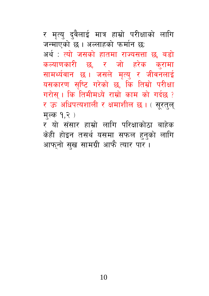र मृत्य् द्वैलाई मात्र हाम्रो परीक्षाको लागि जन्माएको छ । अल्लाहको फर्मान छ: अर्थ : त्यो जसको हातमा राज्यसत्ता छ, बडो कल्याणकारी छ, र जो हरेक करामा सामर्थ्यवान छ। जसले मृत्यु र जीवनलाई यसकारण सष्टि गरेको छ, कि तिम्रो परीक्षा गरोस् । कि तिमीमध्ये राम्रो काम को गर्दछ ? र ऊ अधिपत्यशाली र क्षमाशील छ। (सूरतुल् मुल्क १,२) र यो संसार हाम्रो लागि परिक्षाकोठा बाहेक

केही होइन तसर्थ यसमा सफल हन्को लागि आफनो सख सामग्री आफै त्यार पार।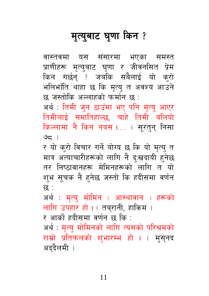## मृत्युबाट घुणा किन ?

वास्तवमा यस संसारमा भएका समस्त प्राणीहरू मृत्युबाट घृणा र जीवनसित प्रेम किन गर्छन् ? जबकि सबैलाई यो क्रो भलिभाँति थाहा छ कि मृत्यु त अवश्य आउने छ जस्तोकि अल्लाहको फर्मान छ :

अर्थ : तिमी जुन ठाउँमा भए पनि मृत्यु आएर तिमीलाई समातिहाल्छ, चाहे तिमी बलियो किल्लामा नै किन नबस ।.... ( सूरतुन् निसा  $95)$ 

र यो करो विचार गर्ने योग्य छ कि यो मृत्यु त मात्र अत्याचारीहरूको लागि नै द:खदायी हनेछ तर निष्ठावानहरू मेमिनहरूको लागि त यो शुभ सूचक नै हुनेछ जस्तो कि हदीसमा वर्णन छ :

अर्थ : मृत्य् मोमिन ( आस्थावान ) हरूको लागि उपहार हो। (तबुरानी, हाकिम) र आर्को हदीसमा वर्णन छ कि :

अर्थ : मृत्यु मोमिनको लागि त्यसको परिश्रमको राम्रो प्रतिफलको शुभारम्भ हो । ( मुसुनद अद्दैलमी )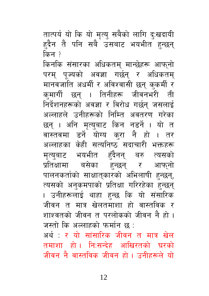तात्पर्य यो कि यो मृत्यु सबैको लागि द:खदायी हदैन तै पनि सबै उसबाट भयभीत हन्छन् किन ?

किनकि संसारका अधिकतम् मान्छेहरू आफ्नो परम् पूज्यको अवज्ञा गर्छन् र अधिकतम् मानवजाति अधर्मी र अविश्वासी छन् कुकर्मी र कमार्गी छन् । तिनीहरू जीवनभरी ती निर्देशनहरूको अवज्ञा र विरोध गर्छन् जसलाई अल्लाहले उनीहरूको निम्ति अवतरण गरेका छन् । अनि मृत्युबाट किन नडर्ने । यो त वास्तवमा डर्ने योग्य कुरा नै हो । तर अल्लाहका केही सत्यनिष्ठ सदाचारी भक्तहरू मृत्युबाट भयभीत हँदैनन् बरु त्यसको प्रतिक्षामा बसेका हुन्छन् र आफ्नो पालनकर्ताको साक्षात्कारको अभिलाषी हन्छन्, त्यसको अनुकमपाको प्रतिक्षा गरिरहेका हुन्छन् । उनीहरूलाई थाहा हन्छ कि यो संसारिक जीवन त मात्र खेलतमाशा हो वास्तविक र शाश्वतको जीवन त परलोकको जीवन नै हो । जस्तो कि अल्लाहको फर्मान छ :

अर्थ : र यो सांसारिक जीवन त मात्र खेल तमाशा हो। नि:सन्देह आखिरतको घरको जीवन नै वास्तविक जीवन हो । उनीहरूले यो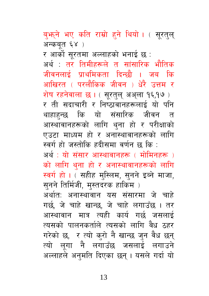ब्फ्फ्ने भए कति राम्रो हने थियो। (सूरत्ल् अन्कबत ६४) र आर्को सूरतमा अल्लाहको भनाई छ : अर्थ : तर तिमीहरूले त सांसारिक भौतिक जीवनलाई प्राथमिकता दिन्छौ । जब कि आखिरत ( परलौकिक जीवन ) धेरै उत्तम र शेष रहनेवाला छ । ( सुरतुल् अअुला १६,१७ ) र ती सदाचारी र निष्ठावानहरूलाई यो पन<mark>ि</mark> थाहाहन्छ कि यो संसारिक जीवन त आस्थावानहरूको लागि थुना हो र परीक्षाको एउटा माध्यम हो र अनास्थावानहरूको लागि स्वर्ग हो जस्तोकि हदीसमा वर्णन छ कि : अर्थ : यो संसार आस्थावानहरू ( मोमिनहरू ) को लागि थुना हो र अनास्थावानहरूको लागि स्वर्ग हो। (सहीह मुस्लिम, सुनने इब्ने माजा, सनने तिर्मिजी, मस्तदरक हाकिम) अर्थात: अनास्थावान यस संसारमा जे चाहे गर्छ, जे चाहे खान्छ, जे चाहे लगाउँछ । तर आस्थावान मात्र त्यही कार्य गर्छ जसलाई त्यसको पालनकर्ताले त्यसको लागि वैध ठहर गरेको छ, र त्यो कुरो नै खान्छ जुन वैध छन् त्यो लुगा नै लगाउँछ जसलाई लगाउने अल्लाहले अनमति दिएका छन। यसले गर्दा यो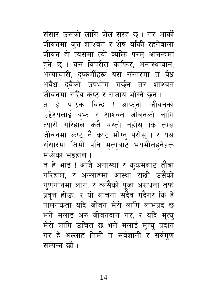संसार उसको लागि जेल सरह छ। तर आर्को जीवनमा जुन शाश्वत र शेष बाँकी रहनेवाला जीवन हो त्यसमा त्यो व्यक्ति परम् आनन्दमा हने छ । यस विपरीत काफिर, अनास्थावान, अत्याचारी, दृष्कर्मीहरू यस संसारमा त वैध अवैध दवैको उपभोग गर्छन् तर शाश्वत

जीवनमा सदैंव कष्ट र सजाय भोग्ने छन् । त हे पाठक विन्द ! आफनो जीवनको उद्देश्यलाई बुभ्रु र शाश्वत जीवनको लागि त्यारी गरिहाल कतै यस्तो नहोस् कि त्यस जीवनमा कष्ट नै कष्ट भोग्न् परोस् । र यस संसारमा तिमी पनि मत्यबाट भयभीतहनेहरू मध्येका भइहाल ।

त हे भाइ ! आजै अनास्था र कुकर्मबाट तौबा गरिहाल, र अल्लाहमा आस्था राखी उसैको गुणगानमा लाग, र त्यसैको पुजा अराधना तर्फ प्रवृत्त होऊ, र यो याचना सदैव गर्दैगर कि हे पालनकर्ता यदि जीवन मेरो लागि लाभप्रद छ भने मलाई अरु जीवनदान गर, र यदि मृत्य् मेरो लागि उचित छ भने मलाई मृत्यु प्रदान गर हे अल्लाह तिमी त सर्वज्ञानी र सर्वग्ण सम्पन्न छौ।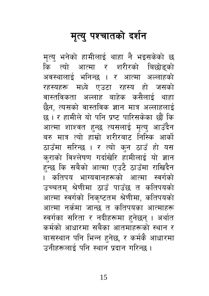## मृत्यु पश्चातको दर्शन

मृत्यु भनेको हामीलाई थाहा नै भइसकेको छ कि त्यो आत्मा र शरीरको बिछोडुको अवस्थालाई भनिन्छ । र आत्मा अल्लाहको रहस्यहरू मध्ये एउटा रहस्य हो जसको वास्तविकता अल्लाह बाहेक कसैलाई थाहा छैन, त्यसको वास्तविक ज्ञान मात्र अल्लाहलाई छ । र हामीले यो पनि प्रष्ट पारिसकेका छौं कि आत्मा शाश्वत हुन्छ त्यसलाई मृत्य् आउँदैन बरु मात्र त्यो हाम्रो शरीरबाट निस्कि आर्को ठाउँमा सरिन्छ । र त्यो कुन ठाउँ हो यस कराको विश्लेषण गर्दाखेरि हामीलाई यो ज्ञान हुन्छ कि सबैको आत्मा एउटै ठाउँमा राखिदैन । कतिपय भाग्यवानहरूको आत्मा स्वर्गको उच्चतम् श्रेणीमा ठाउँ पाउँछ त कतिपयको आत्मा स्वर्गको निकुष्टतम श्रेणीमा, कतिपयको आत्मा नर्कमा जान्छ त कतिपयका आत्माहरू स्वर्गका सरिता र नदीहरूमा हुनेछन् । अर्थात कर्मको आधारमा सबैका आतमाहरूको स्थान र बासस्थान पनि भिन्न हुनेछ, र कर्मकै आधारमा उनीहरूलाई पनि स्थान प्रदान गरिन्छ ।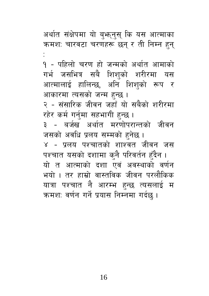अर्थात संक्षेपमा यो बुभूनुसु कि यस आत्माका क्रमशः चारवटा चरणहरू छन् र ती निम्न हुन्

१ - पहिलो चरण हो जन्मको अर्थात आमाको गर्भ जसभित्र सबै शिशुको शरीरमा यस आत्मालाई हालिन्छ, अनि शिशको रूप र आकारमा त्यसको जन्म हुन्छ । २ - संसारिक जीवन जहाँ यो सबैको शरीरमा रहेर कर्म गर्नुमा सहभागी हुन्छ । ३ - बर्जख अर्थात मरणोपरान्तको जीवन जसको अवधि प्रलय सम्मको हुनेछ। ४ - प्रलय पश्चातको शाश्वत जीवन जस पश्चात यसको दशामा क्नै परिवर्तन हँदैन । यो त आत्माको दशा एवं अवस्थाको वर्णन भयो । तर हाम्रो वास्तविक जीवन परलौकिक यात्रा पश्चात नै आरम्भ हुन्छ त्यसलाई म कमशः वर्णन गर्ने प्रयास निम्नमा गर्दछ ।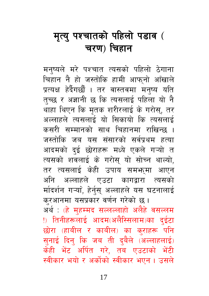#### मृत्यु पश्चातको पहिलो पडाव ( चरण) चिहान

मनष्यले मरे पश्चात त्यसको पहिलो ठेगाना चिहान नै हो जस्तोकि हामी आफ्नो आँखाले प्रत्यक्ष हेर्दैगर्छौ । तर वास्तवमा मन्ष्य यति तुच्छ र अज्ञानी छ कि त्यसलाई पहिला यो नै थाहा थिएन कि मृतक शरीरलाई के गरोस्, तर अल्लाहले त्यसलाई यो सिकायो कि त्यसलाई कसरी सम्मानको साथ चिहानमा राखिन्छ । जस्तोकि जब यस संसारको सर्वप्रथम हत्या आदमको दुई छोराहरू मध्ये एकले गऱ्यो त त्यसको शवलाई के गरोस् यो सोच्न थाल्यो, तर त्यसलाई केही उपाय समभूमा आएन अनि अल्लाहले एउटा कागद्वारा त्यसको र्मादर्शन गऱ्या, हेर्नुस् अल्लाहले यस घटनालाई क्रआनमा यसप्रकार वर्णन गरेको छ । अर्थ : (हे मुहम्मद सल्लल्लाहो अलैहे वसल्लम

!) तिनीहरूलाई आदम(अलैस्सिलाम)का दुईटा छोरा (हाबील र काबील) का क्राहरू पनि सुनाई दिनु कि जब ती दुबैले (अल्लाहलाई) केही भेंट अर्पित गरे, तब एउटाको भेंटी स्वीकार भयो र अर्कोको स्वीकार भएन । उसले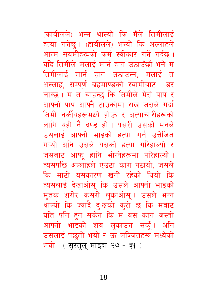(काबीलले) भन्न थाल्यो कि मैले तिमीलाई हत्या गर्नेछ। (हाबीलले) भन्यो कि अल्लाहले आत्म संयमीहरूको कर्म स्वीकार गर्ने गर्दछ। यदि तिमीले मलाई मार्न हात उठाउँछौ भने म तिमीलाई मार्न हात उठाउन्न, मलाई त अल्लाह, सम्पर्ण ब्रहमाण्डको स्वामीबाट डर लाग्छ। म त चाहन्छ कि तिमीले मेरो पाप र आफ्नो पाप आफ्नै टाउकोमा राख जसले गर्दा तिमी नर्कीयहरूमध्ये होऊ र अत्याचारीहरूको लागि यही नै दण्ड हो। यसरी उसको मनले उसलाई आफ्नो भाइको हत्या गर्न उत्तेजित गऱ्यो अनि उसले यसको हत्या गरिहाल्यो र जसबाट आफ् हानि भोग्नेहरूमा परिहाल्यो । त्यसपछि अल्लाहले एउटा काग पठायो. जसले कि माटो यसकारण खनी रहेको थियो कि त्यसलाई देखाओस कि उसले आफ्नो भाइको मृतक शरीर कसरी लुकाओस् । उसले भन्न थाल्यो कि ज्यादै द:खको करो छ कि मबाट यति पनि हुन सकेन कि म यस काग जस्तो आफ्नो भाइको शव लुकाउन सकूँ। अनि उसलाई पछतो भयो र ऊ लज्जितहरू मध्येको भयो। (सुरतुलु माइदा २७ - ३१)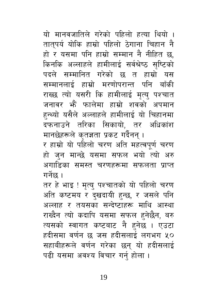यो मानवजातिले गरेको पहिलो हत्या थियो । तातुपर्य योकि हाम्रो पहिलो ठेगाना चिहान नै हो र यसमा पनि हाम्रो सम्मान नै नीहित छ. किनकि अल्लाहले हामीलाई सर्वश्रेष्ठ सष्टिको पदले सम्मानित गरेको छ त हाम्रो यस सम्मानलाई हाम्रो मरणोपरान्त पनि बाँकी राख्छ त्यो यसरी कि हामीलाई मत्य पश्चात जनावर भें फालेमा हाम्रो शवको अपमान हुन्थ्यो यसैले अल्लाहले हामीलाई यो चिहानमा दफनाउने तरिका सिकायो, तर अधिकांश मानछेहरूले कृतज्ञता प्रकट गर्दैनन् ।

र हाम्रो यो पहिलो चरण अति महत्वपूर्ण चरण हो जुन मान्छे यसमा सफल भयो त्यो अरु अगाडिका समस्त चरणहरूमा सफलता प्राप्त गर्नेछ ।

तर हे भाइ ! मृत्यु पश्चातको यो पहिलो चरण अति कष्टमय र दखदायी हुन्छ, र जसले पनि अल्लाह र तयसका सन्देष्टाहरू माथि आस्था राख्दैन त्यो कदापि यसमा सफल हनेछैन, बरु त्यसको स्वागत कष्टबाट नै हुनेछ । एउटा हदीसमा वर्णन छ जस हदीसलाई लगभग ५० सहाबीहरूले वर्णन गरेका छन् यो हदीसलाई पढी यसमा अवश्य विचार गर्न होला ।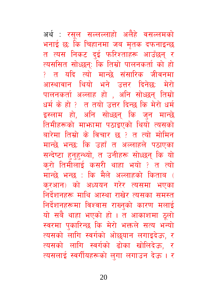अर्थ: रसूल सल्लल्लाहो अलैहे वसल्लमको भनाई छ: कि चिहानमा जब मृतक दफनाइन्छ त त्यस निकट दुई फरिश्ताहरू आउँछन् र त्यससित सोध्छन: कि तिम्रो पालनकर्ता को हो <u>? त यदि त्यो मान्छे संसारिक जीवनमा</u> आस्थावान थियो भने उत्तर दिनेछ: मेरो पालनकर्ता अल्लाह हो , अनि सोध्छन् तिम्रो धर्म के हो ? त तयो उत्तर दिन्छ कि मेरो धर्म इस्लाम हो, अनि सोध्छन् कि जुन मान्छे तिमीहरूको माभ्तामा पठाइएको थियो त्यसको बारेमा तिम्रो के विचार छ ? त त्यो मोमिन मान्छे भन्छ: कि उहाँ त अल्लाहले पठाएका सन्देष्टा हुनुहुन्थ्यो, त उनीहरू सोध्छन् कि यो करो तिमीलाई कसरी थाहा भयो ? त त्यो मान्छे भन्छ : कि मैले अल्लाहको किताब ( करआन) को अध्ययन गरेर त्यसमा भएका निर्देशनहरू माथि आस्था राखेर त्यसका समस्त निर्देशनहरूमा विश्वास राख्नुको कारण मलाई यो सबै थाहा भएको हो । त आकाशमा ठूलो स्वरमा पुकारिन्छ कि मेरो भक्तले सत्य भन्यो त्यसको लागि स्वर्गको ओछयान लगाइदेऊ, र त्यसको लागि स्वर्गको ढोका खोलिदेऊ, र त्यसलाई स्वर्गीयहरूको लुगा लगाउन देऊ । र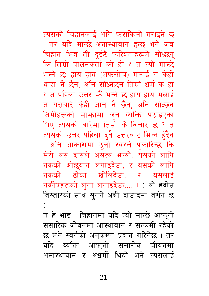त्यसको चिहानलाई अति फराकिलो गराइने छ । तर यदि मान्छे अनास्थावान हुन्छ भने जब चिहान भित्र ती दुईटै फरिश्ताहरूले सोध्छन् <u>कि तिम्रो पालनकर्ता को हो १ त त्यो मान्छे</u> भन्ने छः हाय हाय (अफुसोच) मलाई त केही थाहा नै छैन, अनि सोध्नेछन् तिम्रो धर्म के हो ? त पहिलो उत्तर भैं भन्ने छ हाय हाय मलाई त यसबारे केही ज्ञान नै छैन, अनि सोध्छन तिमीहरूको माभ्जामा जन व्यक्ति पठाइएका थिए त्यसको बारेमा तिम्रो के विचार छ ? त त्यसको उत्तर पहिला द्वै उत्तरबाट भिन्न हँदैन । अनि आकाशमा ठूलो स्वरले पुकारिन्छ कि मेरो यस दासले असत्य भन्यो, यसको लागि नर्कको ओछयान लगाइदेऊ, र यसको लागि ढोका खोलिदेऊ, र यसलाई नर्कको नर्कीयहरूको लुगा लगाइदेऊ.... । ( यो हदीस विस्तारको साथ सुनने अबी दाऊदमा वर्णन छ  $\lambda$ 

त हे भाइ ! चिहानमा यदि त्यो मान्छे आफनो संसारिक जीवनमा आस्थावान र सत्कर्मी रहेको छ भने स्वर्गको अनुकम्पा प्रदान गरिनेछ । तर यदि व्यक्ति आफ्**नो संसारीय जीवनमा** अनास्थावान र अधर्मी थियो भने त्यसलार्द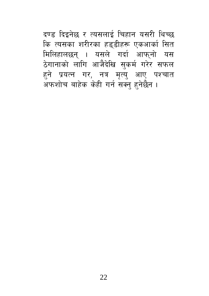दण्ड दिइनेछ र त्यसलाई चिहान यसरी थिच्छ कि त्यसका शरीरका हड्डीहरू एकआर्का सित मिलिहालछन् । यसले गर्दा आफ्नो यस हुने प्रयत्न गर, नत्र मृत्यु आए पश्चात अफशोच बाहेक केही गर्न सक्नु हुनेछैन ।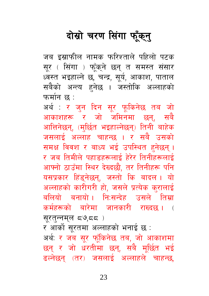## दोस्रो चरण सिंगा फूँक्**न्**

जब इस्राफील नामक फरिश्ताले पहिलो पटक सूर ( सिंगा ) फूँक्ने छन् त समस्त संसार ध्वस्त भइहाल्ने छ, चन्द्र, सूर्य, आकाश, पाताल सबैको अन्त्य हुनेछ । जस्तोकि अल्लाहको फर्मान छ :

अर्थ : र जन दिन सुर फुकिनेछ तब जो आकाशहरू र जो जमिनमा छन्, सबै आत्तिनेछन्, (मुर्छित भइहाल्नेछन्) तिनी बाहेक जसलाई अल्लाह चाहन्छ । र सबै उसको समक्ष विवश र बाध्य भई उपस्थित हनेछन। र जब तिमीले पहाडहरूलाई हेरेर तिनीहरूलाई आफ्नो ठाउँमा स्थिर देख्दछौ, तर तिनीहरू पनि यसप्रकार हिंडुनेछन्, जस्तो कि बादल। यो अल्लाहको कारीगरी हो, जसले प्रत्येक कुरालाई बलियो बनायो। नि:सन्देह उसले तिम्रा कर्महरूको बारेमा जानकारी राख्दछ । ( सरतन्नमल द७.दद)

र आर्को सुरतमा अल्लाहको भनाई छ :

अर्थ: र जब सूर फूँकिनेछ तब, जो आकाशमा छन् र जो धरतीमा छन्, सबै मूर्छित भई ढल्नेछन् (तर) जसलाई अल्लाहले चाहन्छ,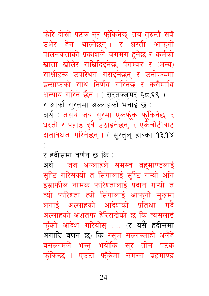फोरि दोस्रो पटक सूर फूँकिनेछ, तब तुरुन्तै सबै उभेर हेर्न थाल्नेछन्। र धरती आफनो पालनकर्ताको प्रकाशले जगमग हनेछ र कर्मको खाता खोलेर राखिदिइनेछ, पैगम्बर र (अन्य) साक्षीहरू उपस्थित गराइनेछन् र उनीहरूमा इन्साफको साथ निर्णय गरिनेछ र कसैमाथि अन्याय गरिने छैन । ( सुरत्ज्जुमर ६८,६९ ) र आर्को सरतमा अल्लाहको भनाई छ : अर्थ : तसर्थ जब सूरमा एकफूँक फूँकिनेछ, र धरती र पहाड दवै उठाइनेछन्, र एकैचोटीबाट क्षतविक्षत गरिनेछन् । ( सूरत्**ल् हाक्का १३,१४**  $\lambda$ 

र हदीसमा वर्णन छ कि :

अर्थ : जब अल्लाहले समस्त ब्रहमाण्डलाई सृष्टि गरिसक्यो त सिंगालाई सृष्टि गऱ्यो अनि इस्राफील नामक फरिश्तालाई प्रदान गऱ्यो त त्यो फरिश्ता त्यो सिंगालाई आफ्नो मुखमा लगाई अल्लाहको आदेशको प्रतिक्षा गर्दै अल्लाहको अर्शतर्फ हेरिराखेको छ कि त्यसलाई फूँक्ने आदेश गरियोस् .... (र यसै हदीसमा अगाडि वर्णन छ) कि रसूल सल्लल्लाहो अलैहे वसल्लमले भन्नु भयोकि सूर तीन पटक फूँकिन्छ । एउटा फूँकेमा समस्त ब्रहमाण्ड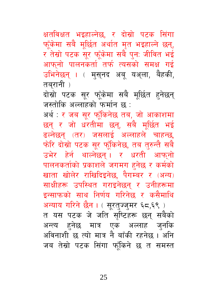क्षतविक्षत भइहाल्नेछ, र दोस्रो पटक सिंगा फूँकेमा सबै मूर्छित अर्थात मृत भइहाल्ने छन्, र तेस्रो पटक सुर फूँकेमा सबै पुन: जीवित भई आफनो पालनकर्ता तर्फ त्यसको समक्ष गई उभिनेछन् । ( मुस्नद अबू यअ्ला, बैहकी, तबरानी )

दोस्रो पटक सुर फूँकेमा सबै मूर्छित हनेछन् जस्तोकि अल्लाहको फर्मान छ :

अर्थ : र जब सूर फूँकिनेछ तब, जो आकाशमा छन् र जो धरतीमा छन्, सबै मुर्छित भई ढल्नेछन् (तर) जसलाई अल्लाहले चाहन्छ, फोरि दोस्रो पटक सूर फूँकिनेछ, तब तुरुन्तै सबै उभेर हेर्न थाल्नेछन्। र धरती आफ्नो पालनकर्ताको प्रकाशले जगमग हनेछ र कर्मको खाता खोलेर राखिदिइनेछ, पैगम्बर र (अन्य) साक्षीहरू उपस्थित गराइनेछन् र उनीहरूमा इन्साफको साथ निर्णय गरिनेछ र कसैमाथि अन्याय गरिने छैन। (सूरत्ज्जुमर ६८,६९) त यस पटक जे जति सृष्टिहरू छन् सबैको अन्त्य हुनेछ मात्र एक अल्लाह जुनकि अविनाशी छ त्यो मात्र नै बाँकी रहनेछ । अनि जब तेस्रो पटक सिंगा फाँकिने छ त समस्त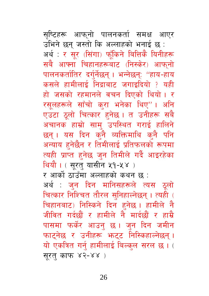सृष्टिहरू आफ्**नो पालनकर्ता समक्ष आएर** उभिने छन् जस्तो कि अल्लाहको भनाई छ : अर्थ: र सूर (सिंगा) फूँकिने बित्तिकै यिनीहरू सबै आफ्ना चिहानहरूबाट (निस्केर) आफ्नो पालनकर्तातिर दर्गुर्नेछन् । भन्नेछन्: "हाय-हाय कसले हामीलाई निद्राबाट जगाइदियो ? यही हो जसको रहमानले वचन दिएको थियो। र रसलहरूले साँचो करा भनेका थिए"। अनि एउटा ठूलो चित्कार हुनेछ। त उनीहरू सबै अचानक हाम्रो साम् उपस्थित गराई हालिने छन्। यस दिन कुनै व्यक्तिमाथि कुनै पनि अन्याय हनेछैन र तिमीलाई प्रतिफलको रूपमा त्यही प्राप्त हुनेछ जुन तिमीले गर्दै आइरहेका थियौ । (सूरत् यासीन ५१-५४) र आर्को ठाउँमा अल्लाहको कथन छ : अर्थ : जन दिन मानिसहरूले त्यस ठुलो चित्कार निश्चित तौरल सुनिहाल्नेछन् । त्यही ( चिहानबाट) निस्किने दिन हनेछ। हामीले नै जीवित गर्दछौं र हामीले नै मार्दछौं र हाम्रै पासमा फर्केर आउनु छ । जुन दिन जमीन फाट्नेछ र उनीहरू भन्दट निस्किहाल्नेछन्। यो एकत्रित गर्नु हामीलाई बिल्कुल सरल छ । (

सरत काफ ४२-४४)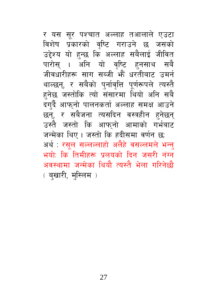र यस सूर पश्चात अल्लाह तआलाले एउटा विशेष प्रकारको वृष्टि गराउने छ जसको उद्देश्य यो हुन्छ कि अल्लाह सबैलाई जीवित पारोस् । अनि यो वृष्टि हनसाथ सबै जीवधारीहरू साग सब्जी भें धरतीबाट उमर्न थाल्छन्, र सबैको पर्नावृत्ति पूर्णरूपले त्यस्तै हनेछ जस्तोकि त्यो संसारमा थियो अनि सबै दग्दै आफ्नो पालनकर्ता अल्लाह समक्ष आउने छन्, र सबैजना त्यसदिन वस्त्रहीन हुनेछन् उस्तै जस्तो कि आफ़नो आमाको गर्भबाट जन्मेका थिए। जस्तो कि हदीसमा वर्णन छ: अर्थ : रसूल सल्लल्लाहो अलैहे वसल्लमले भन्न् भयोः कि तिमीहरू प्रलयको दिन जसरी नंग्न अवस्थामा जन्मेका थियौ त्यस्तै भेला गरिनेछौ ( बखारी, मुस्लिम)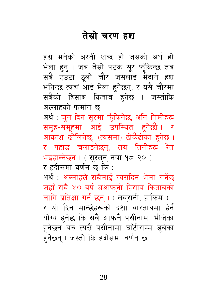#### तेस्रो चरण हश

हुश्च भनेको अरबी शब्द हो जसको अर्थ हो भेला हुन् । जब तेस्रो पटक सूर फूँकिन्छ तब सबै एउटा ठूलो चौर जसलाई मैदाने हश्र भनिन्छ त्यहाँ आई भेला हनेछन्, र यसै चौरमा सबैको हिसाब किताब हुनेछ । जस्तोकि अल्लाहको फर्मान छ :

अर्थ : जुन दिन सूरमा फूँकिनेछ, अनि तिमीहरू समूह-समूहमा आई उपस्थित हुनेछौ । र आकाश खोलिनेछ, (त्यसमा) ढोकैढोका हुनेछ । र पहाड चलाइनेछन. तब तिनीहरू रेत भइहाल्नेछन् । ( सूरतुन् नबा १८-२० )

र हदीसमा वर्णन छ कि :

अर्थ : अल्लाहले सबैलाई त्यसदिन भेला गर्नेछ जहाँ सबै ४० वर्ष अआफुनो हिसाब किताबको लागि प्रतिक्षा गर्ने छन्। ( तबरानी, हाकिम) र यो दिन मान्छेहरूको दशा वास्तावमा हेर्ने योग्य हुनेछ कि सबै आफुनै पसीनामा भीजेका हनेछन् बरु त्यसै पसीनामा घाँटीसम्म डूबेका हनेछन् । जस्तो कि हदीसमा वर्णन छ :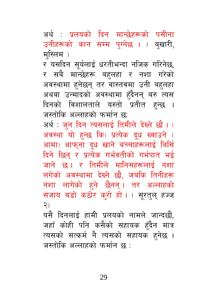29

यसै दिनलाई हामी प्रलयको नामले जान्दछौं, जहाँ कोही पनि कसैको सहायक हुँदैन मात्र त्यसको सत्कर्म नै त्यसको सहायक हुनेछ । जस्तोकि अल्लाहको फर्मान छ :

दिने छिन् र प्रत्येक गर्भवतीको गर्भपात भई जाने छ। र तिमीले मानिसहरूलाई नशा लगेको अवस्थामा देख्ने छौ, जबकि तिनीहरू नशा लागेको हने छैनन् । तर अल्लाहको सजाय बड़ो कठोर करो हो। (सरतल हज्ज  $\mathcal{S}$ 

अवस्था यो हुन्छ कि) प्रत्येक दूध ख्वाउने ( आमा) आफ्ना दूध खाने बच्चाहरूलाई बिर्सि

म्स्लिम) र यसदिन सूर्यलाई धरतीभन्दा नजिक गरिनेछ, र सबै मान्छेहरू बहुलहा र नशा गरेको अवस्थामा हनेछन् तर वास्तवमा उनी बहलहा अथवा उन्मादको अवस्थामा हँदैनन् बरु त्यस दिनको विशालताले यस्तो प्रतीत हन्छ । जस्तोकि अल्लाहको फर्मान छ: अर्थ : जुन दिन त्यसलाई तिमीले देख्ने छौ । (

अर्थ : प्रलयको दिन मान्छेहरूको पसीना उनीहरूको कान सम्म पुग्नेछ । ( बुखारी,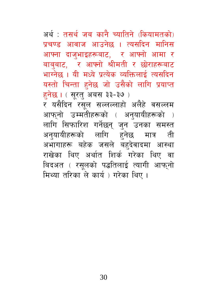अर्थ : तसर्थ जब कानै च्यातिने (कियामतको) प्रचण्ड आवाज आउनेछ । त्यसदिन मानिस आफ्ना दाज्भाइहरूबाट, र आफ्नो आमा र बाबबाट. र आफ्नो श्रीमती र छोराहरूबाट भाग्नेछ । यी मध्ये प्रत्येक व्यक्तिलाई त्यसदिन यस्तो चिन्ता हुनेछ जो उसैको लागि प्रयाप्त हनेछ । (सूरत् अबस ३३-३७) र यसैदिन रसूल सल्लल्लाहो अलैहे वसल्लम आफ्नो उम्मतीहरूको ( अनुयायीहरूको ) लागि सिफारिश गर्नेछन् जुन उनका समस्त अनुयायीहरूको लागि हुनेछ मात्र ती अभागाहरू बहेक जसले बहदेवादमा आस्था राखेका थिए अर्थात शिर्क गरेका थिए वा बिदअत ( रसुलको पद्धतिलाई त्यागी आफ्नो मिथ्या तरिका ले कार्य ) गरेका थिए ।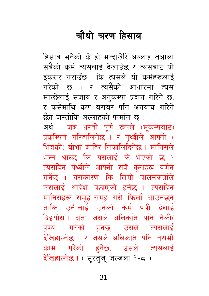## चौथो चरण हिसाब

हिसाब भनेको के हो भन्दाखेरि अल्लाह तआला सबैको कर्म त्यसलाई देखाउँछ र त्यसबाट यो डकरार गराउँछ कि त्यसले यो कर्महरूलाई गरेको छ । र त्यसैको आधारमा त्यस मान्छेलाई सजाय र अनुकम्पा प्रदान गरिने छ, र कसैमाथि कण बराबर पनि अनयाय गरिने छैन जस्तोकि अल्लाहको फर्मान छ : अर्थ: जब धरती पूर्ण रूपले (भूकम्पबाट) प्रकम्पित गरिहालिनेछ । र पृथ्वीले आफ्नो ( भित्रको) बोभ्रु बाहिर निकालिदिनेछ । मानिसले भन्न थाल्छ कि यसलाई के भएको छ ? त्यसदिन पृथ्वीले आफ्नो सबै कराहरू वर्णन गर्नेछ । यसकारण कि तिम्रो पालनकर्ताले उसलाई आदेश पठाएको हनेछ । त्यसदिन मानिसहरू समृह-समुह गरी फिर्ता आउनेछन् ताकि उनीलाई उनको कर्म पत्री देखाई दिइयोस् । अतः जसले अलिकति पनि नेकी( पुण्य) गरेको हुनेछ, उसले त्यसलाई देखिहाल्नेछ । र जसले अलिकति पनि नराम्रो काम गरेको हनेछ, उसले त्यसलाई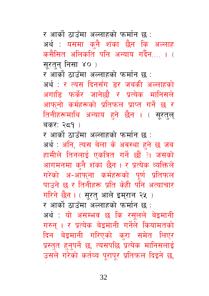र आर्को ठाउँमा अल्लाहको फर्मान छ :

अर्थ : यसमा कनै शंका छैन कि अल्लाह कसैसित अलिकति पनि अन्याय गर्दैन काल सरतन निसा ४० )

र आर्को ठाउँमा अल्लाहको फर्मान छ :

अर्थ : र त्यस दिनसँग डर जबकी अल्लाहको अगाडि फर्केर जानेछौ र प्रत्येक मानिसले आफनो कर्महरूको प्रतिफल प्राप्त गर्ने छ र तिनीहरूमाथि अन्याय हने छैन । ( सुरतल् बकर: २ $\leq 9$ )

र आर्को ठाउँमा अल्लाहको फर्मान छ :

अर्थ : अनि, त्यस बेला के अवस्था हुने छ जब हामीले तिनलाई एकत्रित गर्ने छौं ?। जसको आगमनमा कुनै शंका छैन । र प्रत्येक व्यक्तिले गरेको अ-आफुना कर्महरूको पूर्ण प्रतिफल पाउने छ र तिनीहरू प्रति केही पनि अत्याचार गरिने छैन । ( सुरत् आले इमुरान २५ ) र आर्को ठाउँमा अल्लाहको फर्मान छ : अर्थ: यो असम्भव छ कि रसुलले बेइमानी गरुन् । र प्रत्येक बेइमानी गर्नेले कियामतको दिन बेइमानी गरिएको क्रा समेत लिएर प्रस्तुत हुनुपर्ने छ, त्यसपछि प्रत्येक मानिसलाई उसले गरेको कर्तव्य पुरापुर प्रतिफल दिइने छ,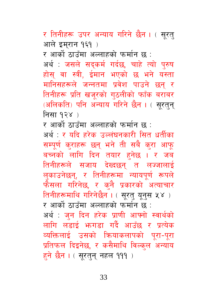र तिनीहरू उपर अन्याय गरिने छैन । ( सरत आले इमरान १६१ )

र आर्को ठाउँमा अल्लाहको फर्मान छ :

अर्थ : जसले सदकर्म गर्दछ, चाहे त्यो पुरुष होस् वा स्त्री, ईमान भएको छ भने यस्ता मानिसहरूले जन्नतमा प्रवेश पाउने छन् र तिनीहरू प्रति खजूरको गुठलीको फाँक बराबर (अलिकति) पनि अन्याय गरिने छैन । ( सरतन निसा १२४ )

र आर्को ठाउँमा अल्लाहको फर्मान छ :

अर्थ : र यदि हरेक उल्लंघनकारी सित धर्तीका सम्पूर्ण क्राहरू छन् भने ती सबै क्रा आफू बच्नको लागि दिन तयार हनेछ । र जब तिनीहरूले सजाय देख्दछन् त लज्जालाई लुकाउनेछन्, र तिनीहरूमा न्यायपूर्ण रूपले फैसला गरिनेछ, र कुनै प्रकारको अत्याचार तिनीहरूमाथि गरिनेछैन । ( सुरत् युनुस ५४ ) र आर्को ठाउँमा अल्लाहको फर्मान छ : अर्थ : जुन दिन हरेक प्राणी आफ्नो स्वार्थको लागि लडाई भनगडा गर्दै आउँछ र प्रत्येक व्यक्तिलाई उसको कियाकलापको पूरा-पूरा प्रतिफल दिइनेछ, र कसैमाथि विल्कुल अन्याय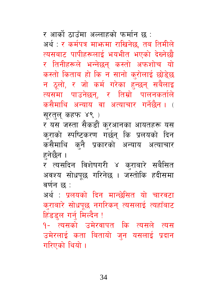34

हिंडडल गर्न् मिल्दैन ! १- त्यसको उमेरवापत कि त्यसले त्यस उमेरलाई कता बितायो जुन यसलाई प्रदान गरिएको थियो ।

वर्णन छ : अर्थ : प्रलयको दिन मान्छेसित यो चारवटा कराबारे सोधपछ नगरिकन् त्यसलाई त्यहाँबाट

र त्यसदिन विशेषगरी ४ कराबारे सबैसित अवश्य सोधपूछ गरिनेछ । जस्तोकि हदीसमा

सुरतुलु कहफ ४९) र यस जस्ता सैकडौं करआनका आयतहरू यस कुराको स्पष्टिकरण गर्छन् कि प्रलयको दिन कसैमाथि कनै प्रकारको अन्याय अत्याचार हनेछैन ।

र आर्को ठाउँमा अल्लाहको फर्मान छ : अर्थ : र कर्मपत्र माभ्रमा राखिनेछ, तब तिमीले त्यसबाट पापीहरूलाई भयभीत भएको देख्नेछौ र तिनीहरूले भन्नेछन कस्तो अफशोच यो कस्तो किताब हो कि न सानो कुरोलाई छोडे्छ न ठलो, र जो कर्म गरेका हन्छन सबैलाइ त्यसमा पाउनेछन्, र तिम्रो पालनकर्ताले कसैमाथि अन्याय वा अत्याचार गर्नेछैन। (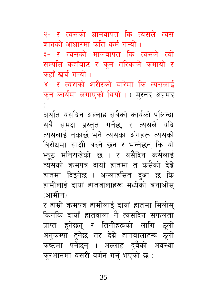२- र त्यसको ज्ञानवापत कि त्यसले त्यस ज्ञानको आधारमा कति कर्म गऱ्यो ।

३- र त्यसको मालवापत कि त्यसले त्यो सम्पत्ति कहाँबाट र कन तरिकाले कमायो र कहाँ खर्च गऱ्यो ।

४- र त्यसको शरीरको बारेमा कि त्यसलाई कुन कार्यमा लगाएको थियो । ( मुस्नद अहमद  $\lambda$ 

अर्थात यसदिन अल्लाह सबैको कार्यको पुलिन्दा सबै समक्ष प्रस्तुत गर्नेछ, र त्यसले यदि त्यसलाई नकार्छ भने त्यसका अंगहरू त्यसको विरोधमा साक्षी बस्ने छन् र भन्नेछन् कि यो भाठ भनिराखेको छ । र यसैदिन कसैलाई त्यसको क्रमपत्र दायाँ हातमा त कसैको देबे हातमा दिइनेछ । अल्लाहसित दुआ छ कि हामीलाई दायाँ हातवालाहरू मध्येको बनाओस (आमीन)

र हाम्रो क्रमपत्र हामीलाई दायाँ हातमा मिलोस किनकि दायाँ हातवाला नै त्यसदिन सफलता प्राप्त हुनेछन् र तिनीहरूको लागि ठूलो अनुकम्पा हुनेछ तर देब्रे हातवालाहरू ठूलो कष्टमा पर्नेछन् । अल्लाह दुवैको अवस्था करआनमा यसरी वर्णन गर्नु भएको छ :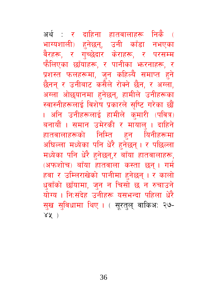अर्थ : र दाहिना हातवालाहरू निकै **(** भाग्यशाली) हुनेछन्, उनी काँडा नभएका वैरहरू, र गुच्छेदार केराहरू, र परसम्म फैलिएका छाँयाहरू. र पानीका भरनाहरू. र प्रशस्त फलहरूमा, जुन कहिल्यै समाप्त हुने छैनन् र उनीबाट कसैले रोक्ने छैन, र अग्ला, अग्ला ओछयानमा हनेछन्, हामीले उनीहरूका स्वास्नीहरूलाई विशेष प्रकारले सृष्टि गरेका छौं । अनि उनीहरूलाई हामीले कुमारी (पवित्र) बनायौं । समान उमेरकी र मायालु । दाहिने हातवालाहरूको निम्ति हुन यिनीहरूमा अधिल्ला मध्येका पनि धेरै हनेछन् । र पछिल्ला मध्येका पनि धेरै हनेछन्,र बाँया हातवालाहरू, (अफशोच) बाँया हातवाला कस्ता छन्। गर्म हवा र उम्लिराखेको पानीमा हुनेछन् । र कालो धवाँको छाँयामा, जुन न चिसो छ न रुचाउने योग्य । नि:संदेह उनीहरू यसभन्दा पहिला धेरै सख सविधामा थिए । ( सरतल वाकिअ: २७- $84)$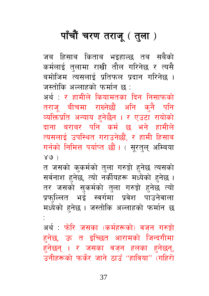# पाँचौं चरण तराजू ( तुला )

जब हिसाब किताब भइहाल्छ तब सबैको कर्मलाई तुलामा राखी तौल गरिनेछ र त्यसै बमोजिम त्यसलाई प्रतिफल प्रदान गरिनेछ । जस्तोकि अल्लाहको फर्मान छ :

अर्थ : र हामीले कियामतका दिन निसाफको तराज् बीचमा राख्नेछौं अनि कनै पनि व्यक्तिप्रति अन्याय हुनेछैन । र एउटा रायोको दाना बराबर पनि कर्म छ भने हामीले त्यसलाई उपस्थित गराउनेछौं, र हामी हिसाब गर्नको निमित्त पर्याप्त छौं। ( सुरतुलु अम्बिया  $X(9)$ 

त जसको कुकर्मको तुला गरुङ्गो हुनेछ त्यसको सर्वनाश हनेछ, त्यो नर्कीयहरू मध्येको हनेछ । तर जसको सुकर्मको तुला गरुङ्गो हुनेछ त्यो प्रफुल्लित भई स्वर्गमा प्रवेश पाउनेवाला मध्येको हुनेछ । जस्तोकि अल्लाहको फर्मान छ

अर्थ : फोरे जसका (कर्महरूको) वजन गरुङ्गो हनेछ, ऊ त इच्छित आरामको जिन्दगीमा हनेछन् । र जसका वज़न हलका हुनेछन्, उनीहरूको फर्केर जाने ठाउँ "हाविया" (गहिरो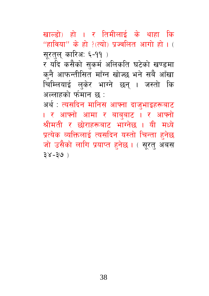खाल्डो) हो । र तिमीलाई के थाहा कि "हाविया" के हो ?(त्यो) पूज्वलित आगो हो। ( सूरतुल् कारिअ: ६-११)

र यदि कसैको सुकर्म अलिकति घटेको खण्डमा कनै आफन्तीसित माँग्न खोज्छ भने सबै आँखा चिम्लियाई लुकेर भाग्ने छन् । जस्तो कि अल्लाहको र्फमान छ :

अर्थ : त्यसदिन मानिस आफ्ना दाजुभाइहरूबाट । र आफ्नो आमा र बाबुबा<mark>ट । र आफ्नो</mark> श्रीमती र छोराहरूबाट भाग्नेछ । यी मध्ये प्रत्येक व्यक्तिलाई त्यसदिन यस्तो चिन्ता हनेछ जो उसैको लागि प्रयाप्त हनेछ। ( सूरत् अबस  $38 - 39$ )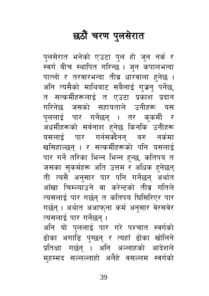# छठौं चरण पुलसेरात

पुलसेरात भनेको एउटा पुल हो जुन नर्क र स्वर्ग बीच स्थापित गरिन्छ । जुन कपालभन्दा पात्लो र तरवारभन्दा तीव्र धारवाला हनेछ । अनि त्यसैको माथिबाट सबैलाई गुजन पर्नेछ, त सत्कर्मीहरूलाई त एउटा प्रकाश प्रदान गरिनेछ जसको सहायताले उनीहरू यस पललाई पार गर्नेछन् । तर कुकर्मी र अधर्मीहरूको सर्वनाश हुनेछ किनकि उनीहरू यसलाई पार गर्नसक्दैनन् बरु नर्कमा खसिहाल्छन । र सत्कर्मीहरूको पनि यसलाई पार गर्ने तरिका भिन्न भिन्न हुन्छ, कतिपय त जसका सकर्महरू अति उत्तम र अधिक हुनेछन् ती त्यसै अनसार पार पनि गर्नेछन् अर्थात आँखा चिम्ल्याउने वा करेन्टको तीव्र गतिले त्यसलाई पार गर्छन् त कतिपय घिसिरिएर पार गर्छन् । अर्थात अआफुना कर्म अनुसार वेरसवेर त्यसलाई पार गर्नेछन्। अनि यो पुललाई पार गरे पश्चात स्वर्गको ढोका अगाडि पुग्छन् र त्यहाँ ढोका खोलिने प्रतिक्षा गर्छन् । अनि अल्लाहको आदेशले

मुहम्मद सल्लल्लाहो अलैहे वसल्लम स्वर्गको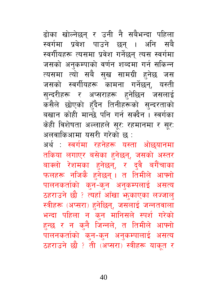ढोका खोल्नेछन् र उनी नै सबैभन्दा पहिला स्वर्गमा प्रवेश पाउने छन् । अनि सबै स्वर्गीयहरू त्यसमा प्रवेश गर्नेछन् त्यस स्वर्गमा जसको अनुकम्पाको वर्णन शब्दमा गर्न सकिन्न त्यसमा त्यो सबै सुख सामग्री हुनेछ जस जसको स्वर्गीयहरू कामना गर्नेछन्, यस्ती सुन्दरीहरू र अप्सराहरू हुनेछिन जसलाई कसैले छोएको हँदैन तिनीहरूको सुन्दरताको बखान कोही मान्छे पनि गर्न सक्दैन । स्वर्गका केही विशेषता अल्लाहले सुर: रहमानमा र सुर: अलवाकिआमा यसरी गरेको छ:

अर्थ : स्वर्गमा रहनेहरू यस्ता ओछयानमा तकिया लगाएर बसेका हुनेछन्, जसको अस्तर बाक्लो रेशमका हनेछन्, र दुवै बगैंचाका फलहरू नजिकै हुनेछन् । त तिमीले आफ्नो पालनकर्ताको कुन-कुन अनुकम्पलाई असत्य ठहराउने छौ ? त्यहाँ आँखा भा़काएका लज्जाल् स्त्रीहरू (अप्सरा) हुनेछिन्, जसलाई जन्नतवाला भन्दा पहिला न कुन मानिसले स्पर्श गरेको हुन्छ र न कुनै जिन्नले, त तिमीले आफ्नो पालनकर्ताको क्न-क्न अनुकम्पालाई असत्य ठहराउने छौ ? ती (अप्सरा) स्त्रीहरू याक्त र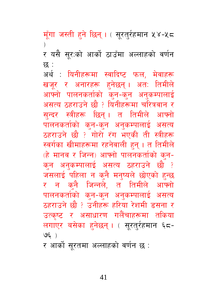मूँगा जस्ती हुने छिन् । ( सूरतुर्रहमान ५४-५८ र यसै सूर:को आर्को ठाउँमा अल्लाहको वर्णन छ :

अर्थ : यिनीहरूमा स्वादिष्ट फल, मेवाहरू खजूर र अनारहरू हनेछन् । अत: तिमीले आफ्नो पालनकर्ताको कन-कन अनकम्पालाई असत्य ठहराउने छौ ? यिनीहरूमा चरित्रवान र सन्दर स्त्रीहरू छिन् । त तिमीले आफ्नो पालनकर्ताको कन-कन अनकम्पालाई असत्य ठहराउने छौ ? गोरो रंग भएकी ती स्त्रीहरू स्वर्गका खीमाहरूमा रहनेवाली हन् । त तिमीले (हे मानव र जिन्न) आफ्नो पालनकर्ताको कुन-कन अनुकम्पालाई असत्य ठहराउने छौ ? जसलाई पहिला न कुनै मनुष्यले छोएको हुन्छ र न कनै जिन्नले, त तिमीले आफ्नो पालनकर्ताको कुन-कुन अनुकम्पालाई असत्य ठहराउने छौ ? उनीहरू हरिया रेशमी डसना र उत्कृष्ट र असाधारण गलैंचाहरूमा तकिया लगाएर बसेका हुनेछन् । ( सूरतुर्रहमान ६८- $US($ 

र आर्को सुरतमा अल्लाहको वर्णन छ :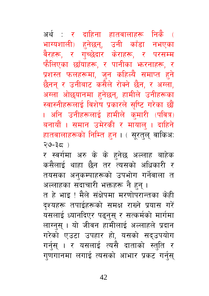अर्थ : र दाहिना हातवालाहरू निकै ( भाग्यशाली) हुनेछन्, उनी काँडा नभएका वैरहरू, र गच्छेदार केराहरू, र परसम्म फैलिएका छाँयाहरू, र पानीका भरनाहरू, र प्रशस्त फलहरूमा, जुन कहिल्यै समाप्त हुने छैनन् र उनीबाट कसैले रोक्ने छैन, र अग्ला, अग्ला ओछ्यानमा हुनेछन्, हामीले उनीहरूका स्वास्नीहरूलाई विशेष प्रकारले सृष्टि गरेका छौं । अनि उनीहरूलाई हामीले कुमारी (पवित्र) बनायौं । समान उमेरकी र मायालु । दाहिने हातवालाहरूको निम्ति हुन । ( सूरतुल् वाकिअ:  $(39-35)$ 

र स्वर्गमा अरु के के हुनेछ अल्लाह बाहेक कसैलाई थाहा छैन तर त्यसको अधिकारी र तयसका अनुकम्पाहरूको उपभोग गर्नेवाला त अल्लाहका सदाचारी भक्तहरू नै हुन् । त हे भाइ ! मैले संक्षेपमा मरणोपरान्तका केही दश्यहरू तपाईहरूको समक्ष राख्ने प्रयास गरें यसलाई ध्यानदिएर पढ्नुस् र सत्कर्मको मार्गमा लाग्नुस् । यो जीवन हामीलाई अल्लाहले प्रदान गरेको एउटा उपहार हो, यसको सद्उपयोग गर्नुस् । र यसलाई त्यसै दाताको स्तुति र गुणगानमा लगाई त्यसको आभार प्रकट गर्नुस्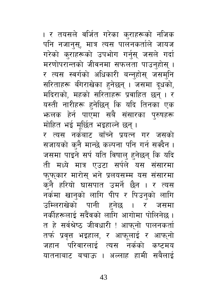43

मोहित भई मूर्छित भइहाल्ने छन्। र त्यस नर्कबाट बाँच्ने प्रयत्न गर जसको सजायको क्नै मान्छे कल्पना पनि गर्न सक्दैन । जसमा पाइने सर्प यति विषाल् हुनेछन् कि यदि ती मध्ये मात्र एउटा सर्पले यस संसारमा फुफुकार मारोस् भने प्रलयसम्म यस संसारमा कनै हरियो घासपात उमर्ने छैन । र त्यस नर्कमा खानुको लागि पीप र पिउनुको लागि उम्लिराखेको पानी हुनेछ । र जसमा नर्कीहरूलाई सदैवको लागि आगोमा पोलिनेछ । त हे सर्वश्रेष्ठ जीवधारी ! आफ्नो पालनकर्ता तर्फ प्रवृत्त भइहाल, र आफूलाई र आफ्नो जहान परिवारलाई त्यस नर्कको कष्टमय यातनाबाट बचाऊ । अल्लाह हामी सबैलाई

। र तयसले वर्जित गरेका कुराहरूको नजिक पनि नजानुस्, मात्र त्यस पालनकर्ताले जायज गरेको क्राहरूको उपभोग गर्नुस् जसले गर्दा मरणोपरान्तको जीवनमा सफलता पाउन्होस् । र त्यस स्वर्गको अधिकारी बन्नुहोस् जसमुनि सरिताहरू बीगराखेका हुनेछन् । जसमा दुधको, मदिराको, महको सरिताहरू प्रवाहित छन् । र यस्ती नारीहरू हुनेछिन् कि यदि तिनका एक **भालक हेर्न पाएमा सबै संसारका पुरुषहरू**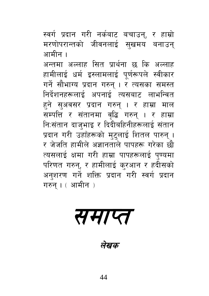स्वर्ग प्रदान गरी नर्कबाट बचाउन्, र हाम्रो मरणोपरान्तको जीवनलाई सुखमय बनाउन् आमीन ।

अन्तमा अल्लाह सित प्रार्थना छ कि अल्लाह हामीलाई धर्म इस्लामलाई पुर्णरूपले स्वीकार गर्ने सौभाग्य प्रदान गरुन् । र त्यसका समस्त निर्देशनहरूलाई अपनाई त्यसबाट लाभन्वित हने सुअवसर प्रदान गरुन् । र हाम्रा माल सम्पत्ति र संतानमा वृद्धि गरुन् । र हाम्रा निःसंतान दाजभाइ र दिदीबहिनीहरूलाई संतान प्रदान गरी उहाँहरूको मुट्लाई शितल पारुन् । र जेजति हामीले अज्ञानताले पापहरू गरेका छौ त्यसलाई क्षमा गरी हाम्रा पापहरूलाई पुण्यमा परिणत गरुन्, र हामीलाई कुरआन र हदीसको अनुशरण गर्ने शक्ति प्रदान गरी स्वर्ग प्रदान गरुन् । ( आमीन )

समाप्त

लेखक